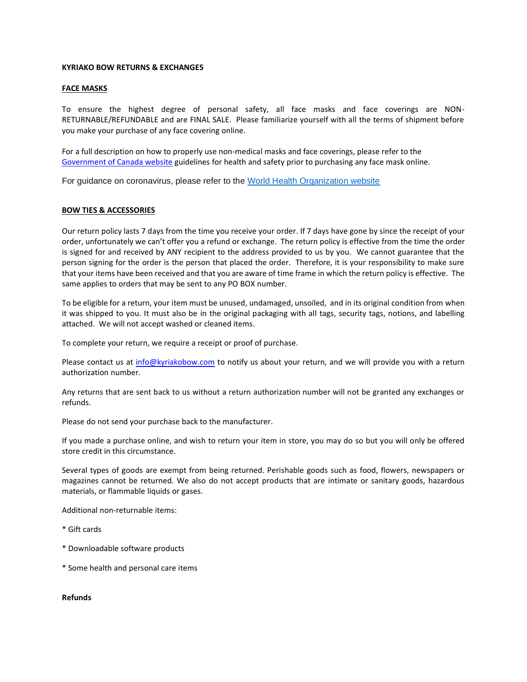## **KYRIAKO BOW RETURNS & EXCHANGES**

## **FACE MASKS**

To ensure the highest degree of personal safety, all face masks and face coverings are NON-RETURNABLE/REFUNDABLE and are FINAL SALE. Please familiarize yourself with all the terms of shipment before you make your purchase of any face covering online.

For a full description on how to properly use non-medical masks and face coverings, please refer to the [Government of Canada](https://www.canada.ca/en/public-health/services/diseases/2019-novel-coronavirus-infection/prevention-risks/about-non-medical-masks-face-coverings.html) website guidelines for health and safety prior to purchasing any face mask online.

For guidance on coronavirus, please refer to the [World Health Organization website](https://www.who.int/emergencies/diseases/novel-coronavirus-2019)

## **BOW TIES & ACCESSORIES**

Our return policy lasts 7 days from the time you receive your order. If 7 days have gone by since the receipt of your order, unfortunately we can't offer you a refund or exchange. The return policy is effective from the time the order is signed for and received by ANY recipient to the address provided to us by you. We cannot guarantee that the person signing for the order is the person that placed the order. Therefore, it is your responsibility to make sure that your items have been received and that you are aware of time frame in which the return policy is effective. The same applies to orders that may be sent to any PO BOX number.

To be eligible for a return, your item must be unused, undamaged, unsoiled, and in its original condition from when it was shipped to you. It must also be in the original packaging with all tags, security tags, notions, and labelling attached. We will not accept washed or cleaned items.

To complete your return, we require a receipt or proof of purchase.

Please contact us at [info@kyriakobow.com](mailto:info@kyriakobow.com) to notify us about your return, and we will provide you with a return authorization number.

Any returns that are sent back to us without a return authorization number will not be granted any exchanges or refunds.

Please do not send your purchase back to the manufacturer.

If you made a purchase online, and wish to return your item in store, you may do so but you will only be offered store credit in this circumstance.

Several types of goods are exempt from being returned. Perishable goods such as food, flowers, newspapers or magazines cannot be returned. We also do not accept products that are intimate or sanitary goods, hazardous materials, or flammable liquids or gases.

Additional non-returnable items:

- \* Gift cards
- \* Downloadable software products
- \* Some health and personal care items

**Refunds**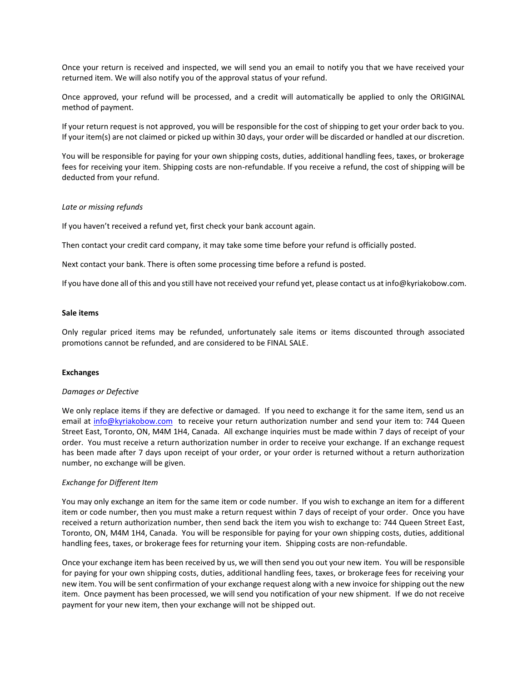Once your return is received and inspected, we will send you an email to notify you that we have received your returned item. We will also notify you of the approval status of your refund.

Once approved, your refund will be processed, and a credit will automatically be applied to only the ORIGINAL method of payment.

If your return request is not approved, you will be responsible for the cost of shipping to get your order back to you. If your item(s) are not claimed or picked up within 30 days, your order will be discarded or handled at our discretion.

You will be responsible for paying for your own shipping costs, duties, additional handling fees, taxes, or brokerage fees for receiving your item. Shipping costs are non-refundable. If you receive a refund, the cost of shipping will be deducted from your refund.

# *Late or missing refunds*

If you haven't received a refund yet, first check your bank account again.

Then contact your credit card company, it may take some time before your refund is officially posted.

Next contact your bank. There is often some processing time before a refund is posted.

If you have done all of this and you still have not received your refund yet, please contact us at info@kyriakobow.com.

#### **Sale items**

Only regular priced items may be refunded, unfortunately sale items or items discounted through associated promotions cannot be refunded, and are considered to be FINAL SALE.

#### **Exchanges**

#### *Damages or Defective*

We only replace items if they are defective or damaged. If you need to exchange it for the same item, send us an email at [info@kyriakobow.com](mailto:info@kyriakobow.com) to receive your return authorization number and send your item to: 744 Queen Street East, Toronto, ON, M4M 1H4, Canada. All exchange inquiries must be made within 7 days of receipt of your order. You must receive a return authorization number in order to receive your exchange. If an exchange request has been made after 7 days upon receipt of your order, or your order is returned without a return authorization number, no exchange will be given.

# *Exchange for Different Item*

You may only exchange an item for the same item or code number. If you wish to exchange an item for a different item or code number, then you must make a return request within 7 days of receipt of your order. Once you have received a return authorization number, then send back the item you wish to exchange to: 744 Queen Street East, Toronto, ON, M4M 1H4, Canada. You will be responsible for paying for your own shipping costs, duties, additional handling fees, taxes, or brokerage fees for returning your item. Shipping costs are non-refundable.

Once your exchange item has been received by us, we will then send you out your new item. You will be responsible for paying for your own shipping costs, duties, additional handling fees, taxes, or brokerage fees for receiving your new item. You will be sent confirmation of your exchange request along with a new invoice for shipping out the new item. Once payment has been processed, we will send you notification of your new shipment. If we do not receive payment for your new item, then your exchange will not be shipped out.